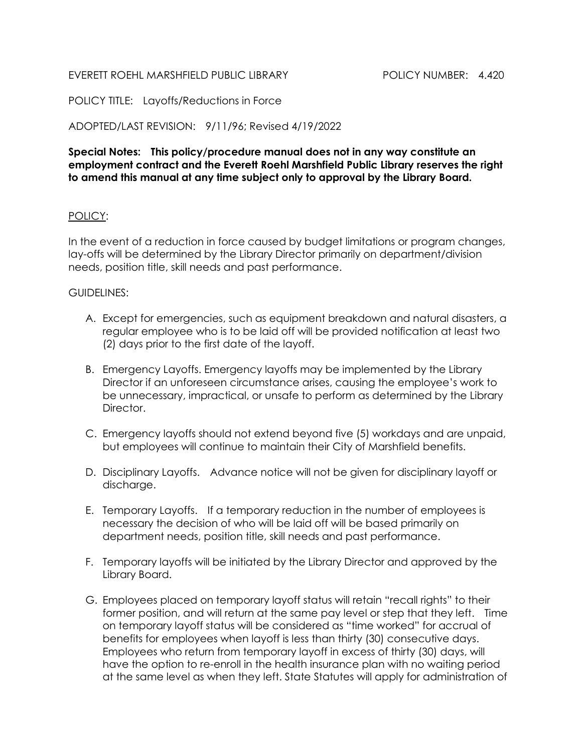## EVERETT ROEHL MARSHFIELD PUBLIC LIBRARY POLICY NUMBER: 4.420

POLICY TITLE: Layoffs/Reductions in Force

ADOPTED/LAST REVISION: 9/11/96; Revised 4/19/2022

Special Notes: This policy/procedure manual does not in any way constitute an employment contract and the Everett Roehl Marshfield Public Library reserves the right to amend this manual at any time subject only to approval by the Library Board.

## POLICY:

In the event of a reduction in force caused by budget limitations or program changes, lay-offs will be determined by the Library Director primarily on department/division needs, position title, skill needs and past performance.

## GUIDELINES:

- A. Except for emergencies, such as equipment breakdown and natural disasters, a regular employee who is to be laid off will be provided notification at least two (2) days prior to the first date of the layoff.
- B. Emergency Layoffs. Emergency layoffs may be implemented by the Library Director if an unforeseen circumstance arises, causing the employee's work to be unnecessary, impractical, or unsafe to perform as determined by the Library Director.
- C. Emergency layoffs should not extend beyond five (5) workdays and are unpaid, but employees will continue to maintain their City of Marshfield benefits.
- D. Disciplinary Layoffs. Advance notice will not be given for disciplinary layoff or discharge.
- E. Temporary Layoffs. If a temporary reduction in the number of employees is necessary the decision of who will be laid off will be based primarily on department needs, position title, skill needs and past performance.
- F. Temporary layoffs will be initiated by the Library Director and approved by the Library Board.
- G. Employees placed on temporary layoff status will retain "recall rights" to their former position, and will return at the same pay level or step that they left. Time on temporary layoff status will be considered as "time worked" for accrual of benefits for employees when layoff is less than thirty (30) consecutive days. Employees who return from temporary layoff in excess of thirty (30) days, will have the option to re-enroll in the health insurance plan with no waiting period at the same level as when they left. State Statutes will apply for administration of